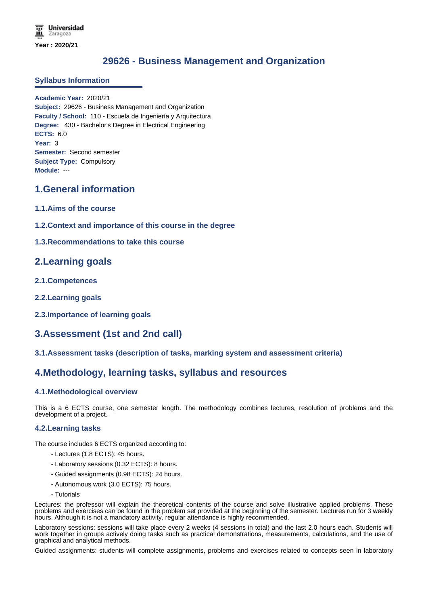# **29626 - Business Management and Organization**

### **Syllabus Information**

**Academic Year:** 2020/21 **Subject:** 29626 - Business Management and Organization **Faculty / School:** 110 - Escuela de Ingeniería y Arquitectura **Degree:** 430 - Bachelor's Degree in Electrical Engineering **ECTS:** 6.0 **Year:** 3 **Semester:** Second semester **Subject Type:** Compulsory **Module:** ---

# **1.General information**

- **1.1.Aims of the course**
- **1.2.Context and importance of this course in the degree**
- **1.3.Recommendations to take this course**

# **2.Learning goals**

- **2.1.Competences**
- **2.2.Learning goals**
- **2.3.Importance of learning goals**

# **3.Assessment (1st and 2nd call)**

### **3.1.Assessment tasks (description of tasks, marking system and assessment criteria)**

### **4.Methodology, learning tasks, syllabus and resources**

### **4.1.Methodological overview**

This is a 6 ECTS course, one semester length. The methodology combines lectures, resolution of problems and the development of a project.

### **4.2.Learning tasks**

The course includes 6 ECTS organized according to:

- Lectures (1.8 ECTS): 45 hours.
- Laboratory sessions (0.32 ECTS): 8 hours.
- Guided assignments (0.98 ECTS): 24 hours.
- Autonomous work (3.0 ECTS): 75 hours.
- Tutorials

Lectures: the professor will explain the theoretical contents of the course and solve illustrative applied problems. These problems and exercises can be found in the problem set provided at the beginning of the semester. Lectures run for 3 weekly hours. Although it is not a mandatory activity, regular attendance is highly recommended.

Laboratory sessions: sessions will take place every 2 weeks (4 sessions in total) and the last 2.0 hours each. Students will work together in groups actively doing tasks such as practical demonstrations, measurements, calculations, and the use of graphical and analytical methods.

Guided assignments: students will complete assignments, problems and exercises related to concepts seen in laboratory